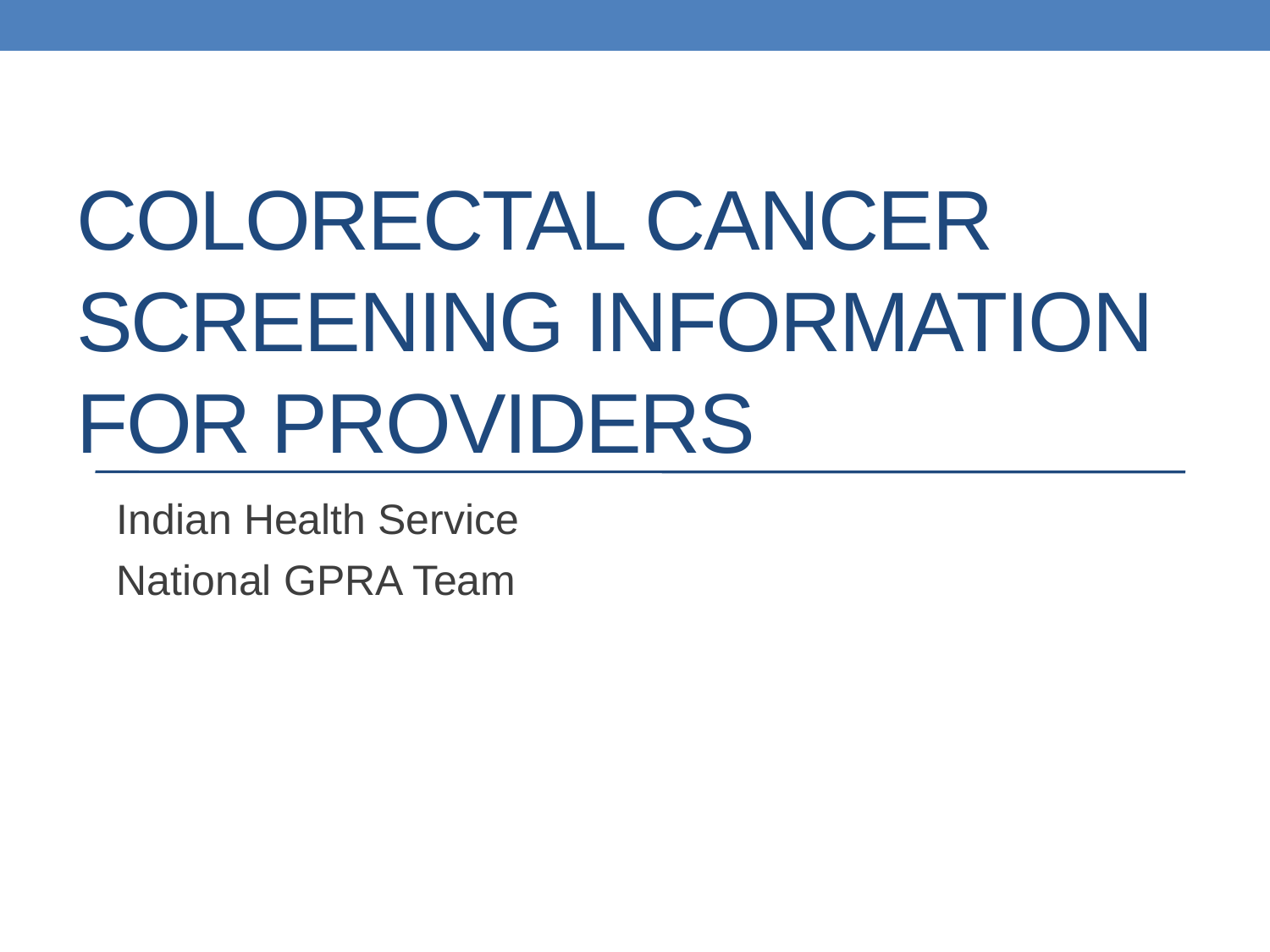# COLORECTAL CANCER SCREENING INFORMATION FOR PROVIDERS

Indian Health Service National GPRA Team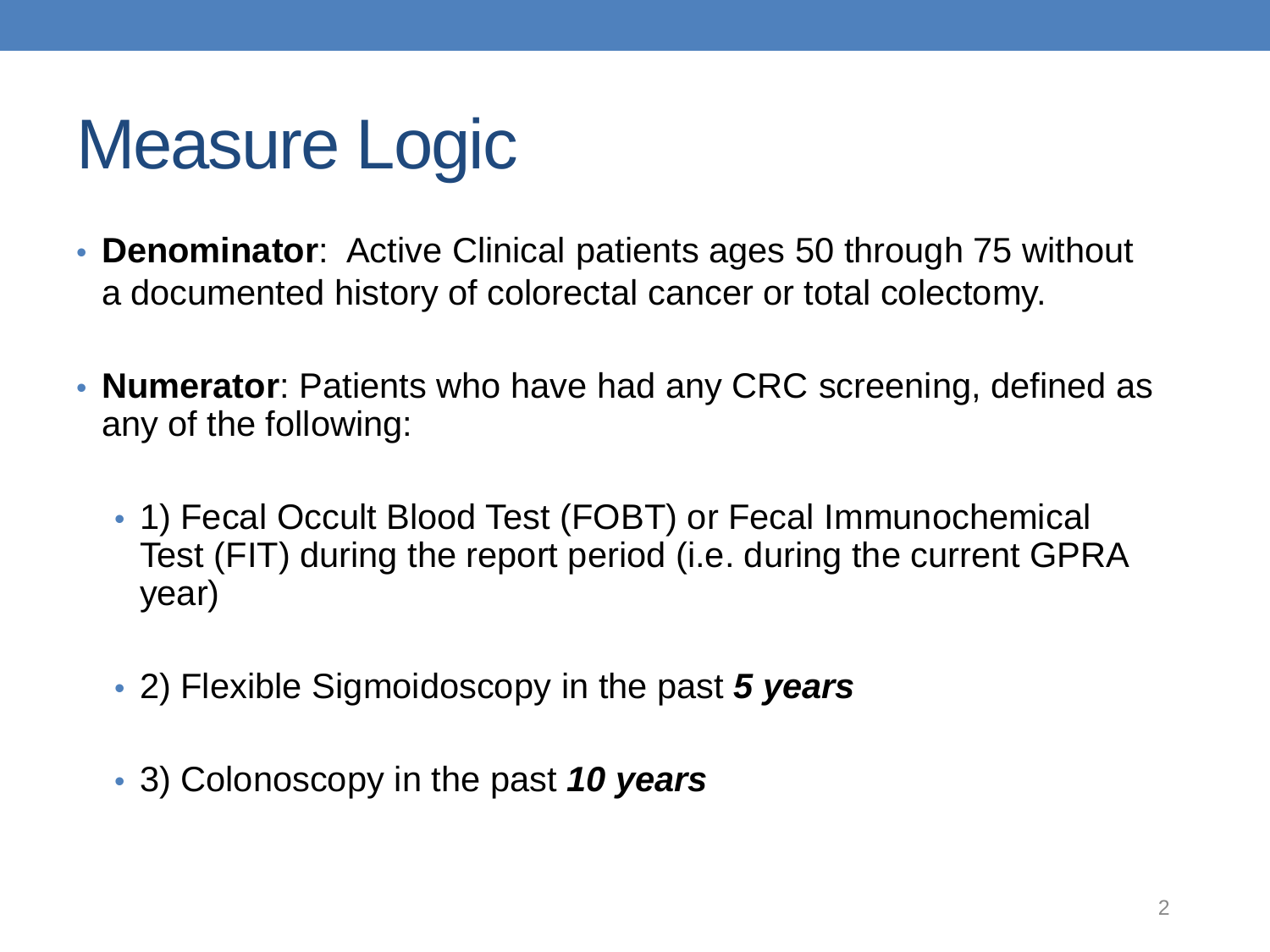# Measure Logic

- **Denominator**: Active Clinical patients ages 50 through 75 without a documented history of colorectal cancer or total colectomy.
- **Numerator**: Patients who have had any CRC screening, defined as any of the following:
	- 1) Fecal Occult Blood Test (FOBT) or Fecal Immunochemical Test (FIT) during the report period (i.e. during the current GPRA year)
	- 2) Flexible Sigmoidoscopy in the past *5 years*
	- 3) Colonoscopy in the past *10 years*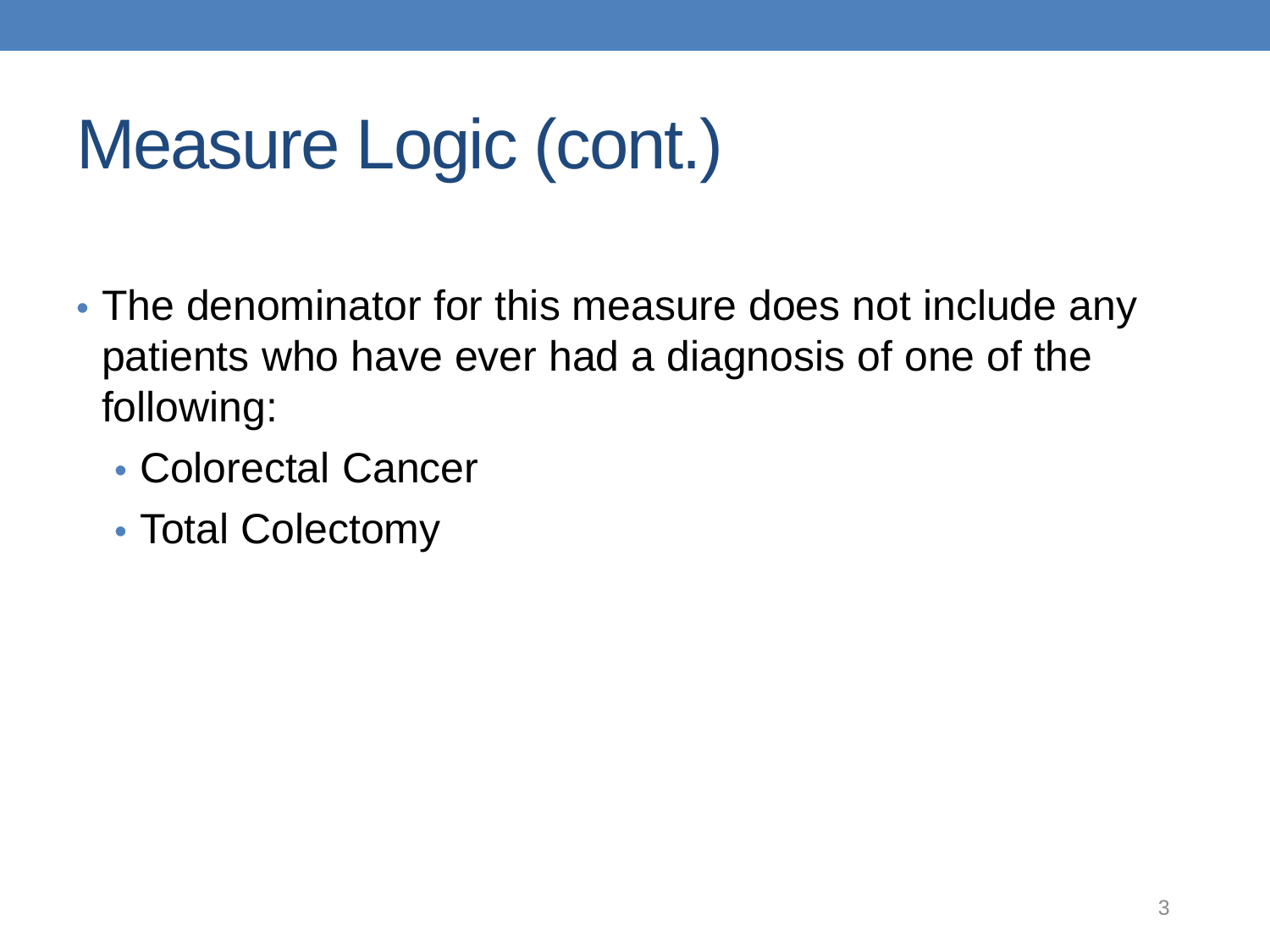# Measure Logic (cont.)

- The denominator for this measure does not include any patients who have ever had a diagnosis of one of the following:
	- Colorectal Cancer
	- Total Colectomy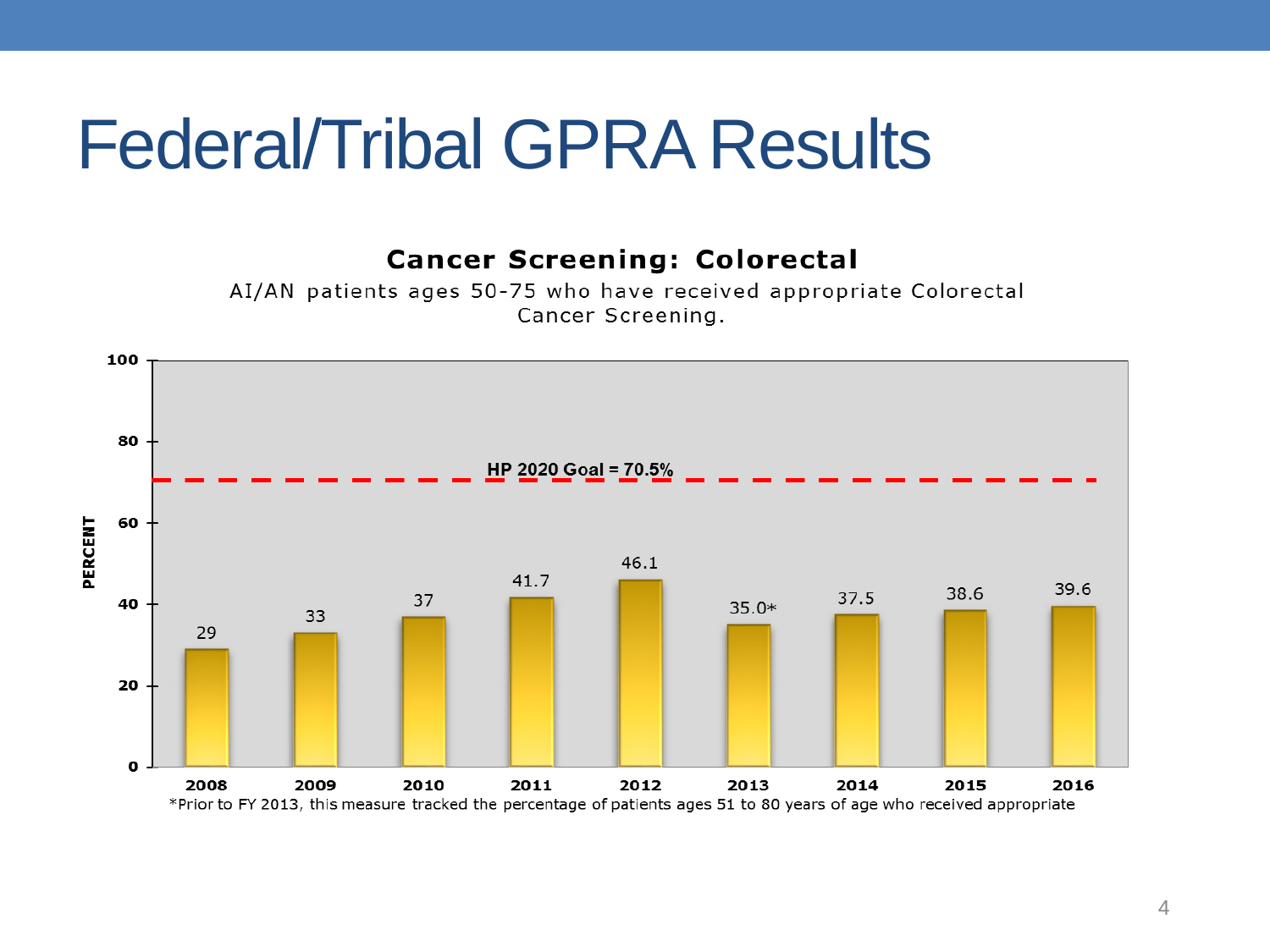#### Federal/Tribal GPRA Results



AI/AN patients ages 50-75 who have received appropriate Colorectal Cancer Screening.

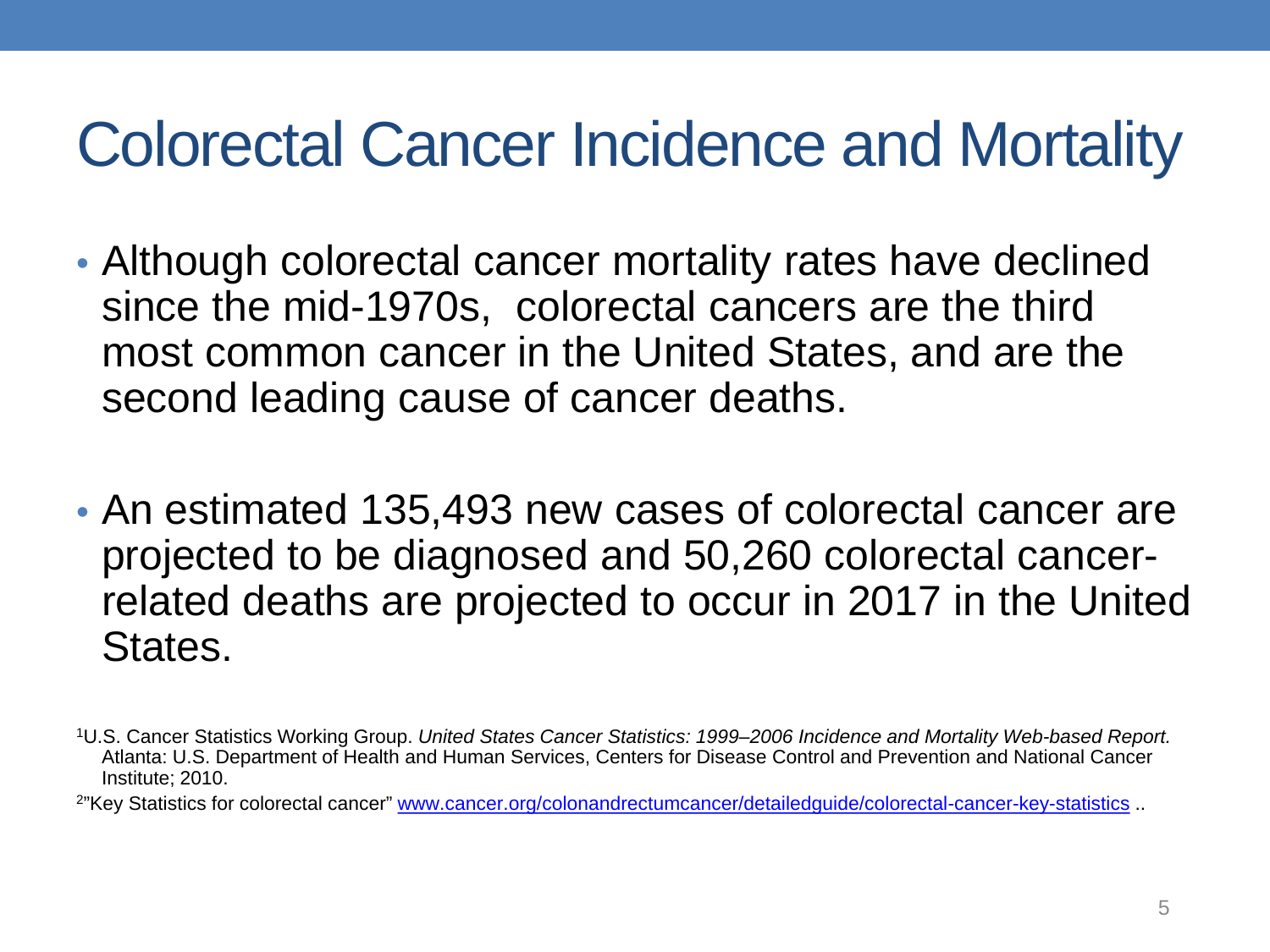#### Colorectal Cancer Incidence and Mortality

- Although colorectal cancer mortality rates have declined since the mid-1970s, colorectal cancers are the third most common cancer in the United States, and are the second leading cause of cancer deaths.
- An estimated 135,493 new cases of colorectal cancer are projected to be diagnosed and 50,260 colorectal cancerrelated deaths are projected to occur in 2017 in the United States.

<sup>1</sup>U.S. Cancer Statistics Working Group. *United States Cancer Statistics: 1999–2006 Incidence and Mortality Web-based Report.* Atlanta: U.S. Department of Health and Human Services, Centers for Disease Control and Prevention and National Cancer Institute; 2010.

<sup>&</sup>lt;sup>2</sup>"Key Statistics for colorectal cancer" [www.cancer.org/colonandrectumcancer/detailedguide/colorectal-cancer-key-statistics](http://www.cancer.org/colonandrectumcancer/detailedguide/colorectal-cancer-key-statistics) ..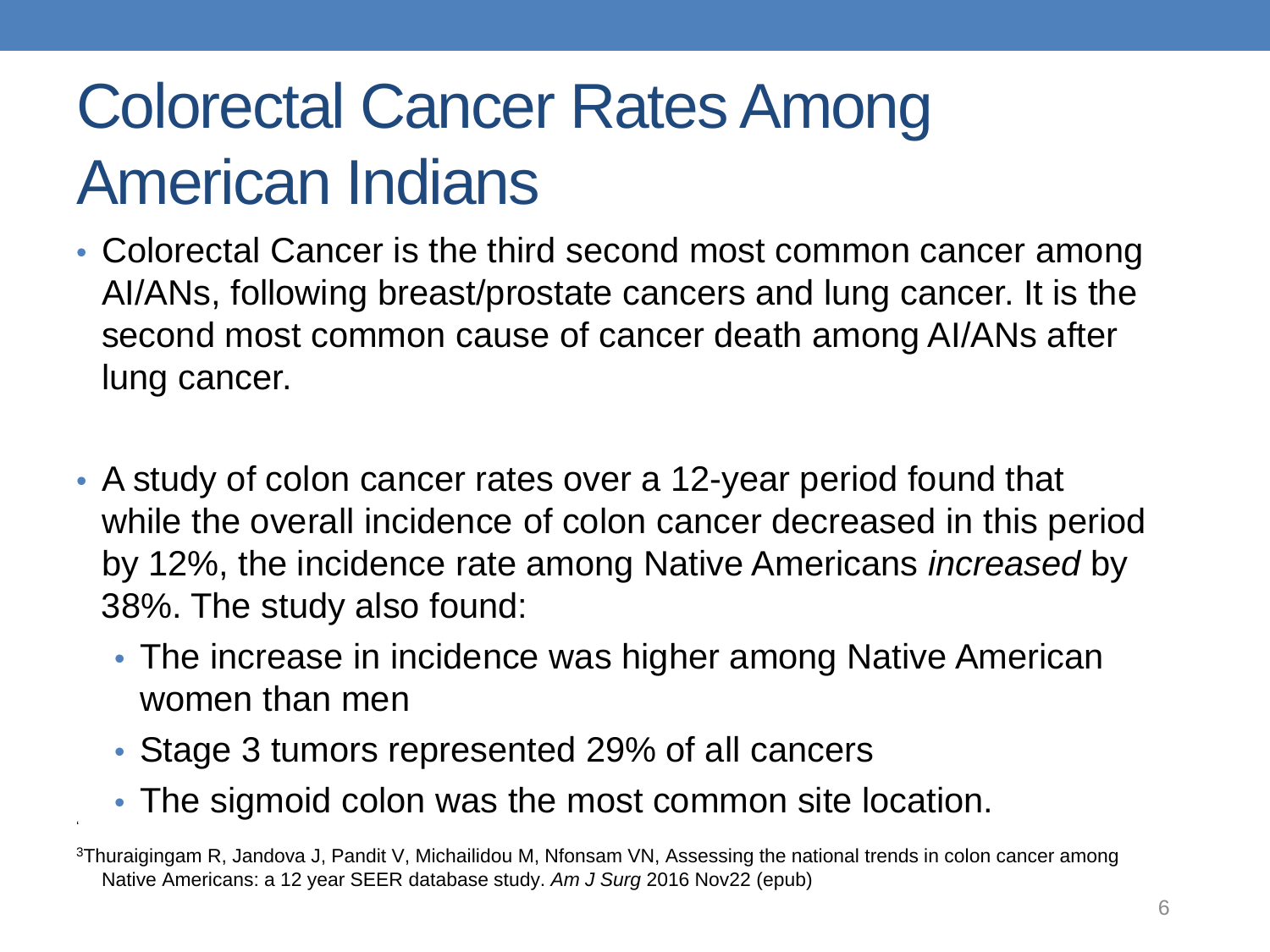## Colorectal Cancer Rates Among American Indians

- Colorectal Cancer is the third second most common cancer among AI/ANs, following breast/prostate cancers and lung cancer. It is the second most common cause of cancer death among AI/ANs after lung cancer.
- A study of colon cancer rates over a 12-year period found that while the overall incidence of colon cancer decreased in this period by 12%, the incidence rate among Native Americans *increased* by 38%. The study also found:
	- The increase in incidence was higher among Native American women than men
	- Stage 3 tumors represented 29% of all cancers

'

• The sigmoid colon was the most common site location.

<sup>3</sup>Thuraigingam R, Jandova J, Pandit V, Michailidou M, Nfonsam VN, Assessing the national trends in colon cancer among Native Americans: a 12 year SEER database study. *Am J Surg* 2016 Nov22 (epub)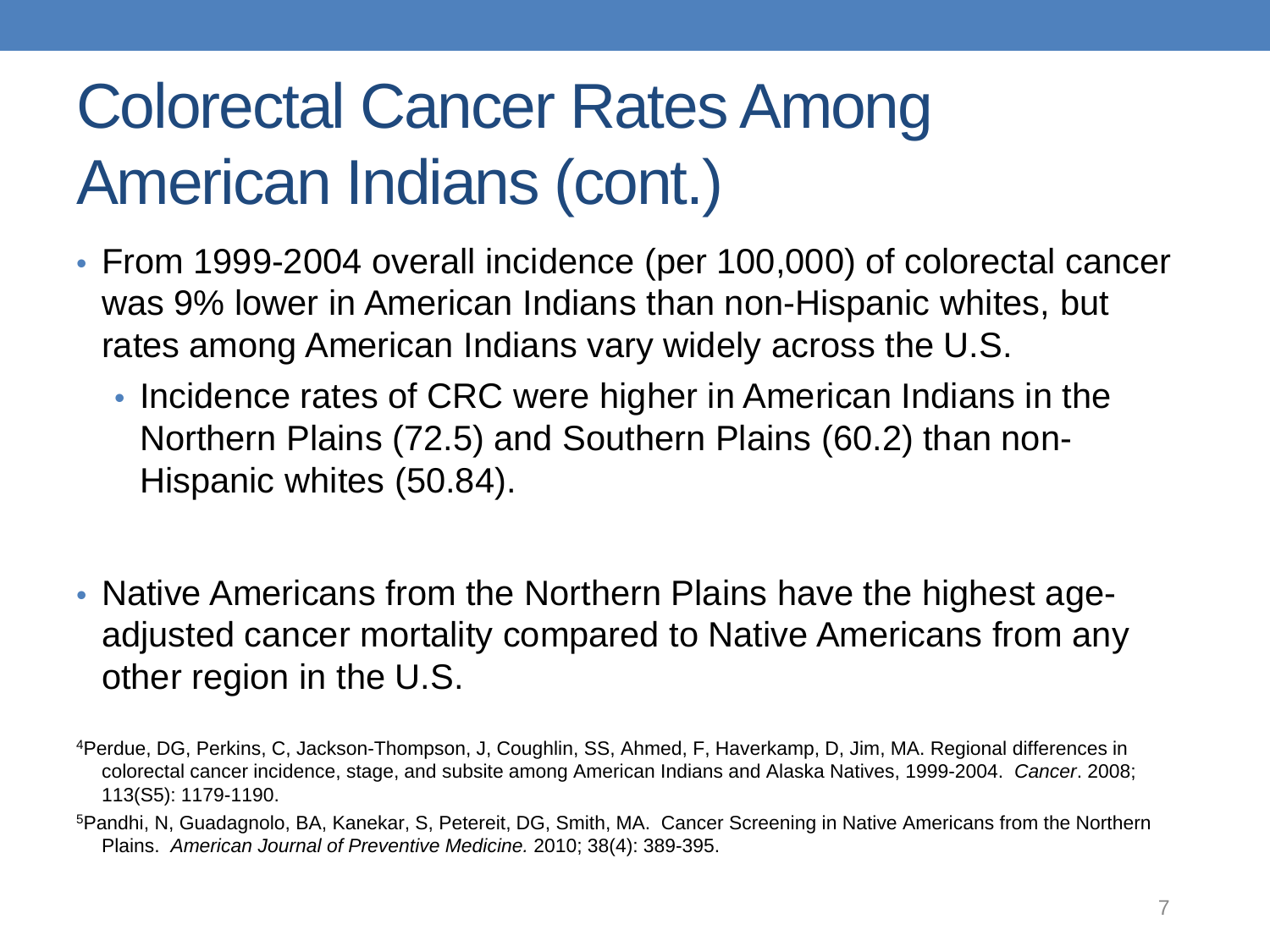## Colorectal Cancer Rates Among American Indians (cont.)

- From 1999-2004 overall incidence (per 100,000) of colorectal cancer was 9% lower in American Indians than non-Hispanic whites, but rates among American Indians vary widely across the U.S.
	- Incidence rates of CRC were higher in American Indians in the Northern Plains (72.5) and Southern Plains (60.2) than non-Hispanic whites (50.84).
- Native Americans from the Northern Plains have the highest ageadjusted cancer mortality compared to Native Americans from any other region in the U.S.
- 4Perdue, DG, Perkins, C, Jackson-Thompson, J, Coughlin, SS, Ahmed, F, Haverkamp, D, Jim, MA. Regional differences in colorectal cancer incidence, stage, and subsite among American Indians and Alaska Natives, 1999-2004. *Cancer*. 2008; 113(S5): 1179-1190.
- 5Pandhi, N, Guadagnolo, BA, Kanekar, S, Petereit, DG, Smith, MA. Cancer Screening in Native Americans from the Northern Plains. *American Journal of Preventive Medicine.* 2010; 38(4): 389-395.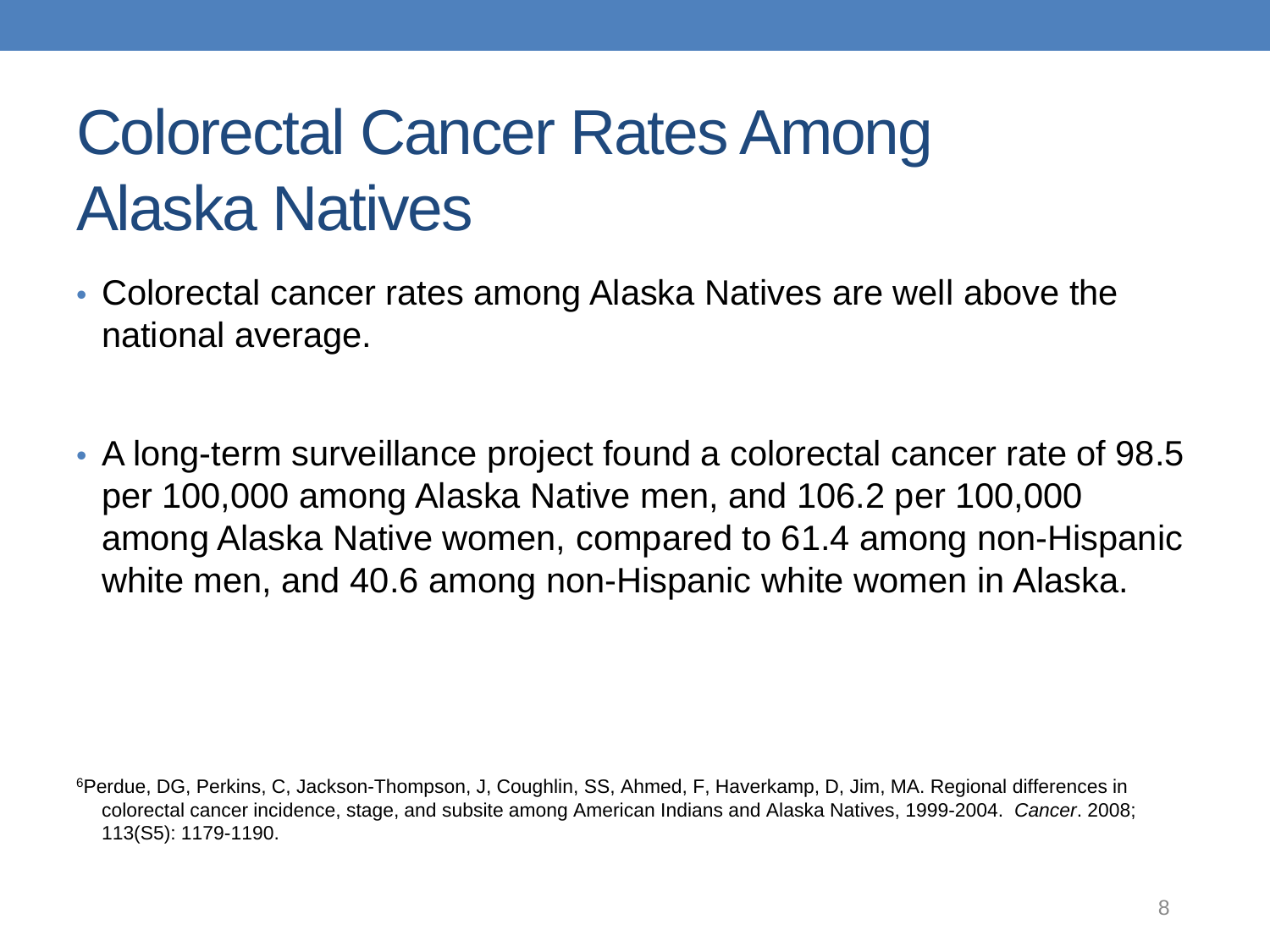## Colorectal Cancer Rates Among Alaska Natives

- Colorectal cancer rates among Alaska Natives are well above the national average.
- A long-term surveillance project found a colorectal cancer rate of 98.5 per 100,000 among Alaska Native men, and 106.2 per 100,000 among Alaska Native women, compared to 61.4 among non-Hispanic white men, and 40.6 among non-Hispanic white women in Alaska.

<sup>6</sup>Perdue, DG, Perkins, C, Jackson-Thompson, J, Coughlin, SS, Ahmed, F, Haverkamp, D, Jim, MA. Regional differences in colorectal cancer incidence, stage, and subsite among American Indians and Alaska Natives, 1999-2004. *Cancer*. 2008; 113(S5): 1179-1190.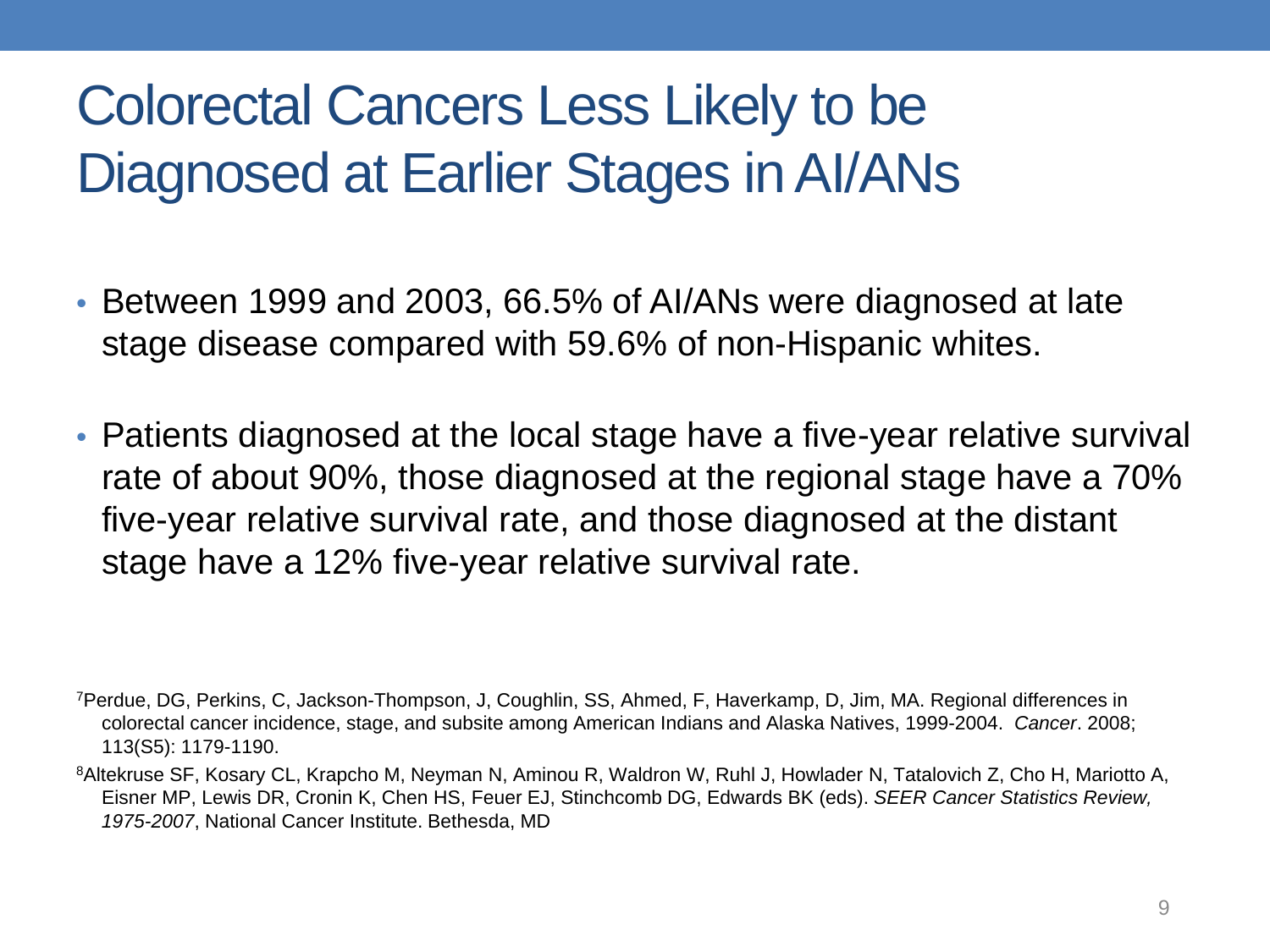#### Colorectal Cancers Less Likely to be Diagnosed at Earlier Stages in AI/ANs

- Between 1999 and 2003, 66.5% of AI/ANs were diagnosed at late stage disease compared with 59.6% of non-Hispanic whites.
- Patients diagnosed at the local stage have a five-year relative survival rate of about 90%, those diagnosed at the regional stage have a 70% five-year relative survival rate, and those diagnosed at the distant stage have a 12% five-year relative survival rate.

<sup>7</sup>Perdue, DG, Perkins, C, Jackson-Thompson, J, Coughlin, SS, Ahmed, F, Haverkamp, D, Jim, MA. Regional differences in colorectal cancer incidence, stage, and subsite among American Indians and Alaska Natives, 1999-2004. *Cancer*. 2008; 113(S5): 1179-1190.

<sup>8</sup>Altekruse SF, Kosary CL, Krapcho M, Neyman N, Aminou R, Waldron W, Ruhl J, Howlader N, Tatalovich Z, Cho H, Mariotto A, Eisner MP, Lewis DR, Cronin K, Chen HS, Feuer EJ, Stinchcomb DG, Edwards BK (eds). *SEER Cancer Statistics Review, 1975-2007*, National Cancer Institute. Bethesda, MD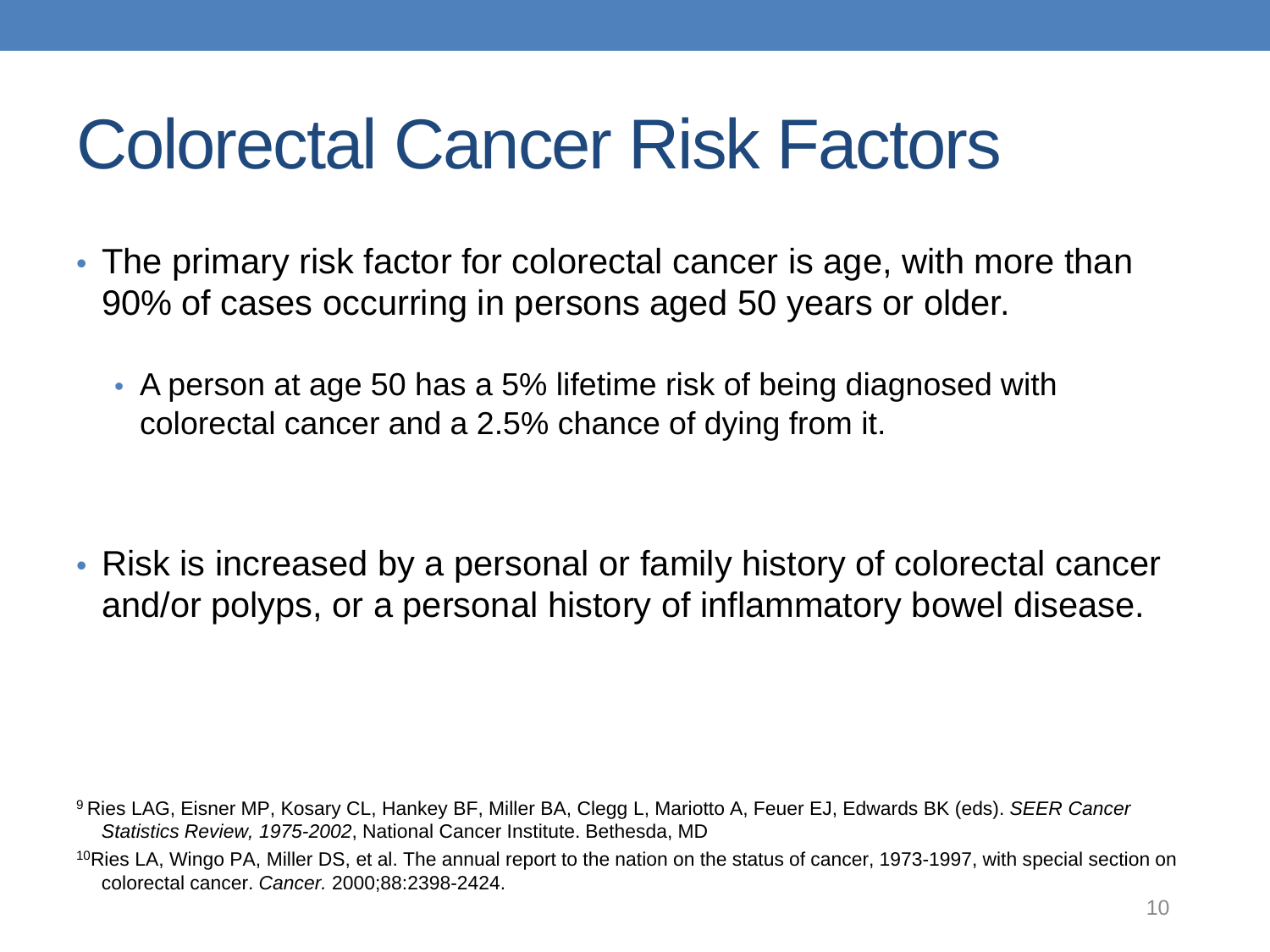## Colorectal Cancer Risk Factors

- The primary risk factor for colorectal cancer is age, with more than 90% of cases occurring in persons aged 50 years or older.
	- A person at age 50 has a 5% lifetime risk of being diagnosed with colorectal cancer and a 2.5% chance of dying from it.

• Risk is increased by a personal or family history of colorectal cancer and/or polyps, or a personal history of inflammatory bowel disease.

9 Ries LAG, Eisner MP, Kosary CL, Hankey BF, Miller BA, Clegg L, Mariotto A, Feuer EJ, Edwards BK (eds). *SEER Cancer Statistics Review, 1975-2002*, National Cancer Institute. Bethesda, MD

<sup>10</sup>Ries LA, Wingo PA, Miller DS, et al. The annual report to the nation on the status of cancer, 1973-1997, with special section on colorectal cancer. *Cancer.* 2000;88:2398-2424.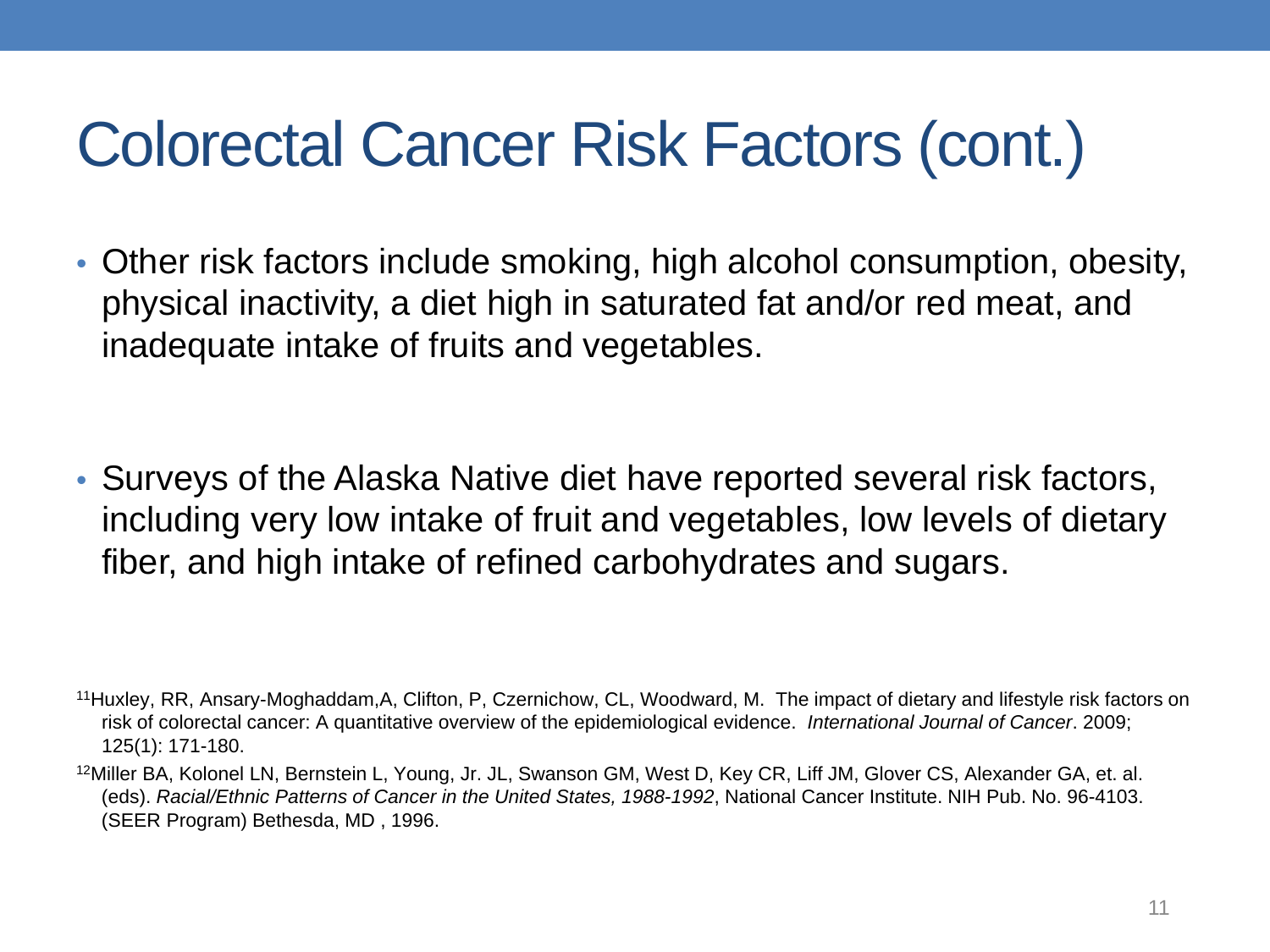#### Colorectal Cancer Risk Factors (cont.)

• Other risk factors include smoking, high alcohol consumption, obesity, physical inactivity, a diet high in saturated fat and/or red meat, and inadequate intake of fruits and vegetables.

• Surveys of the Alaska Native diet have reported several risk factors, including very low intake of fruit and vegetables, low levels of dietary fiber, and high intake of refined carbohydrates and sugars.

- 11Huxley, RR, Ansary-Moghaddam,A, Clifton, P, Czernichow, CL, Woodward, M. The impact of dietary and lifestyle risk factors on risk of colorectal cancer: A quantitative overview of the epidemiological evidence. *International Journal of Cancer*. 2009; 125(1): 171-180.
- 12Miller BA, Kolonel LN, Bernstein L, Young, Jr. JL, Swanson GM, West D, Key CR, Liff JM, Glover CS, Alexander GA, et. al. (eds). *Racial/Ethnic Patterns of Cancer in the United States, 1988-1992*, National Cancer Institute. NIH Pub. No. 96-4103. (SEER Program) Bethesda, MD , 1996.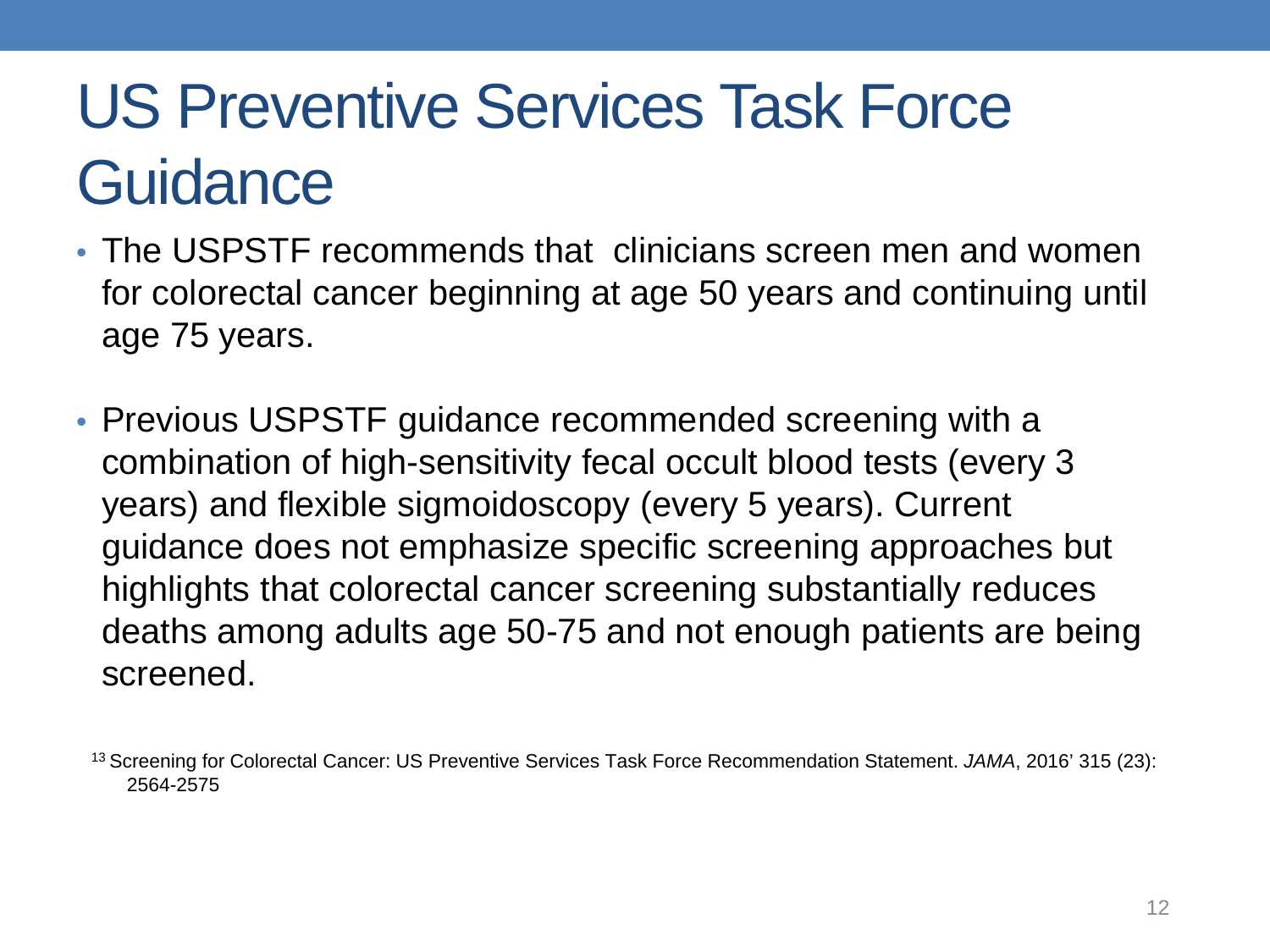#### US Preventive Services Task Force **Guidance**

- The USPSTF recommends that clinicians screen men and women for colorectal cancer beginning at age 50 years and continuing until age 75 years.
- Previous USPSTF guidance recommended screening with a combination of high-sensitivity fecal occult blood tests (every 3 years) and flexible sigmoidoscopy (every 5 years). Current guidance does not emphasize specific screening approaches but highlights that colorectal cancer screening substantially reduces deaths among adults age 50-75 and not enough patients are being screened.

<sup>13</sup> Screening for Colorectal Cancer: US Preventive Services Task Force Recommendation Statement. *JAMA*, 2016' 315 (23): 2564-2575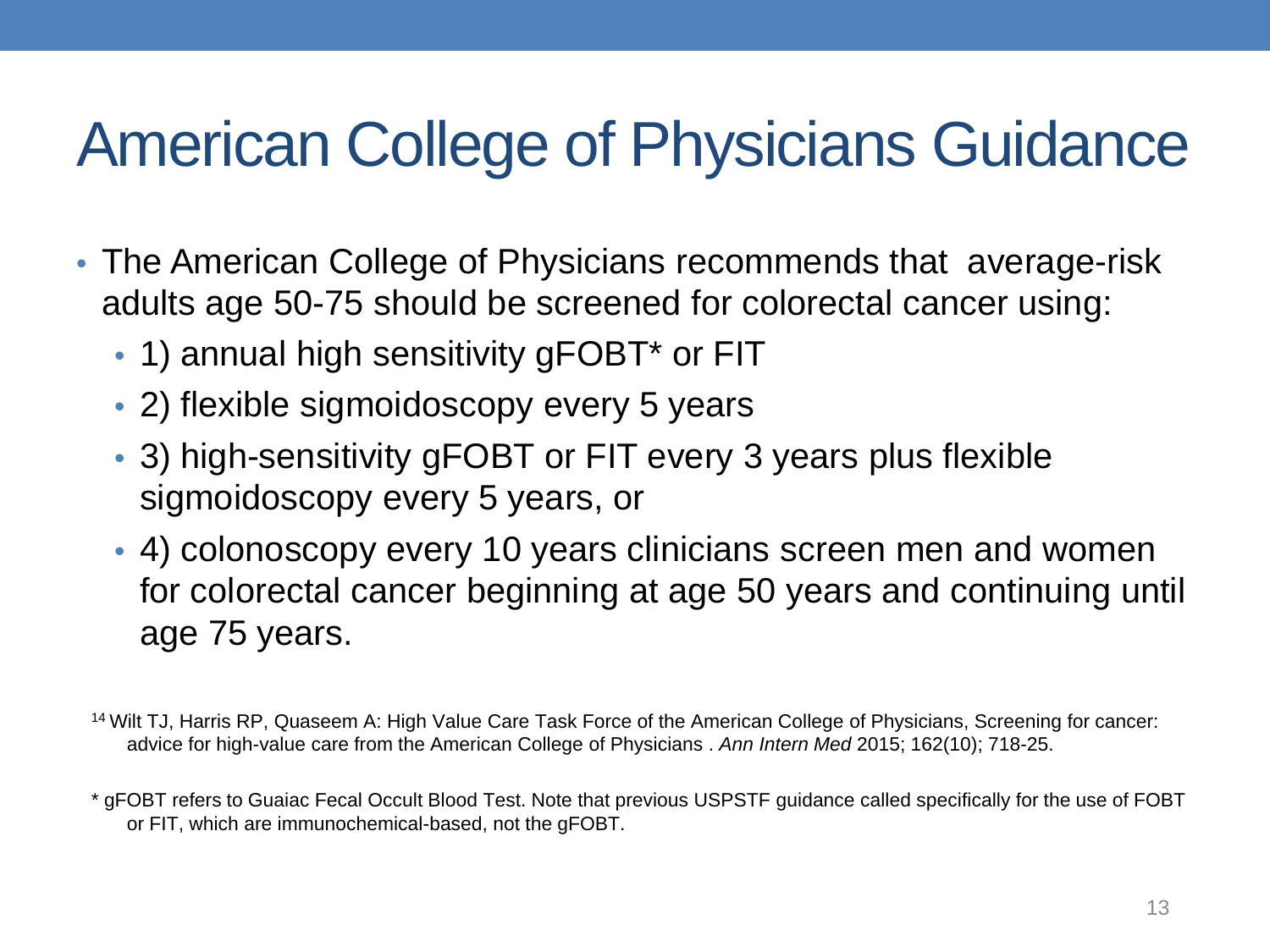#### American College of Physicians Guidance

- The American College of Physicians recommends that average-risk adults age 50-75 should be screened for colorectal cancer using:
	- 1) annual high sensitivity gFOBT<sup>\*</sup> or FIT
	- 2) flexible sigmoidoscopy every 5 years
	- 3) high-sensitivity gFOBT or FIT every 3 years plus flexible sigmoidoscopy every 5 years, or
	- 4) colonoscopy every 10 years clinicians screen men and women for colorectal cancer beginning at age 50 years and continuing until age 75 years.

14 Wilt TJ, Harris RP, Quaseem A: High Value Care Task Force of the American College of Physicians, Screening for cancer: advice for high-value care from the American College of Physicians . *Ann Intern Med* 2015; 162(10); 718-25.

\* gFOBT refers to Guaiac Fecal Occult Blood Test. Note that previous USPSTF guidance called specifically for the use of FOBT or FIT, which are immunochemical-based, not the gFOBT.